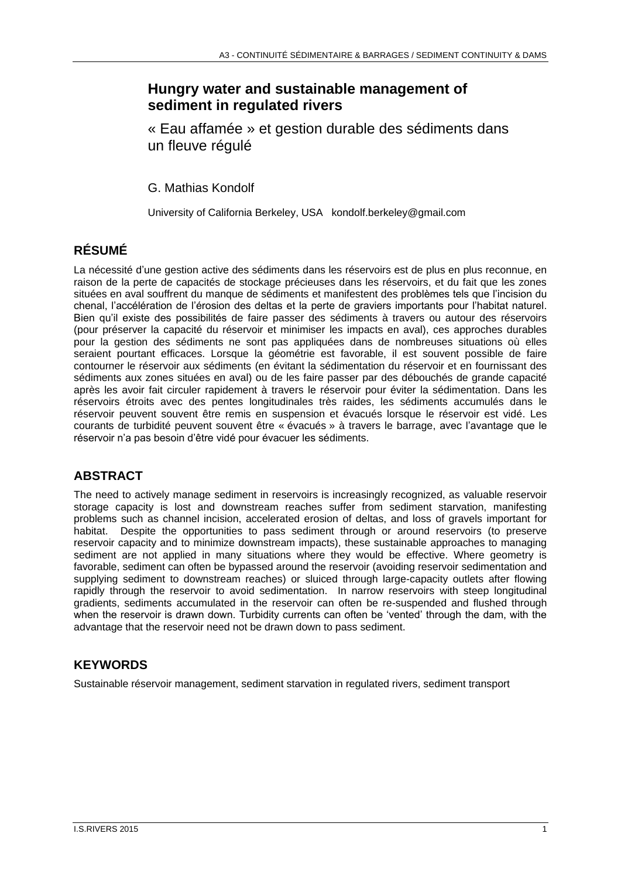## **Hungry water and sustainable management of sediment in regulated rivers**

« Eau affamée » et gestion durable des sédiments dans un fleuve régulé

G. Mathias Kondolf

University of California Berkeley, USA kondolf.berkeley@gmail.com

# **RÉSUMÉ**

La nécessité d'une gestion active des sédiments dans les réservoirs est de plus en plus reconnue, en raison de la perte de capacités de stockage précieuses dans les réservoirs, et du fait que les zones situées en aval souffrent du manque de sédiments et manifestent des problèmes tels que l'incision du chenal, l'accélération de l'érosion des deltas et la perte de graviers importants pour l'habitat naturel. Bien qu'il existe des possibilités de faire passer des sédiments à travers ou autour des réservoirs (pour préserver la capacité du réservoir et minimiser les impacts en aval), ces approches durables pour la gestion des sédiments ne sont pas appliquées dans de nombreuses situations où elles seraient pourtant efficaces. Lorsque la géométrie est favorable, il est souvent possible de faire contourner le réservoir aux sédiments (en évitant la sédimentation du réservoir et en fournissant des sédiments aux zones situées en aval) ou de les faire passer par des débouchés de grande capacité après les avoir fait circuler rapidement à travers le réservoir pour éviter la sédimentation. Dans les réservoirs étroits avec des pentes longitudinales très raides, les sédiments accumulés dans le réservoir peuvent souvent être remis en suspension et évacués lorsque le réservoir est vidé. Les courants de turbidité peuvent souvent être « évacués » à travers le barrage, avec l'avantage que le réservoir n'a pas besoin d'être vidé pour évacuer les sédiments.

# **ABSTRACT**

The need to actively manage sediment in reservoirs is increasingly recognized, as valuable reservoir storage capacity is lost and downstream reaches suffer from sediment starvation, manifesting problems such as channel incision, accelerated erosion of deltas, and loss of gravels important for habitat. Despite the opportunities to pass sediment through or around reservoirs (to preserve reservoir capacity and to minimize downstream impacts), these sustainable approaches to managing sediment are not applied in many situations where they would be effective. Where geometry is favorable, sediment can often be bypassed around the reservoir (avoiding reservoir sedimentation and supplying sediment to downstream reaches) or sluiced through large-capacity outlets after flowing rapidly through the reservoir to avoid sedimentation. In narrow reservoirs with steep longitudinal gradients, sediments accumulated in the reservoir can often be re-suspended and flushed through when the reservoir is drawn down. Turbidity currents can often be 'vented' through the dam, with the advantage that the reservoir need not be drawn down to pass sediment.

## **KEYWORDS**

Sustainable réservoir management, sediment starvation in regulated rivers, sediment transport